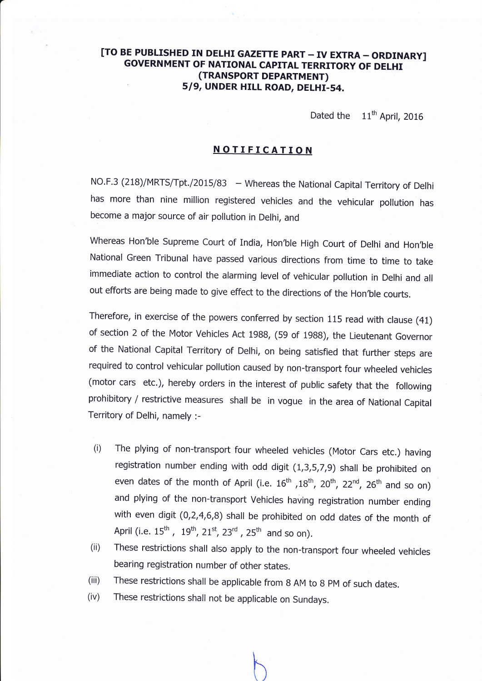# [TO BE PUBLISHED IN DELHI GAZETTE PART - IV EXTRA - ORDINARY] GOVERNMENT OF NATIONAL CAPITAL TERRITORY OF DELHI (TRANSPORT DEPARTMENT) 5/9, UNDER HILL ROAD, DELHI-54.

Dated the  $11<sup>th</sup>$  April, 2016

## NOTIFICATION

NO.F.3 (218)/MRTS/Tpt./2015/83 — Whereas the National Capital Territory of Delh has more than nine million registered vehicles and the vehicular pollution has become a major source of air pollution in Delhi, and

Whereas Hon'ble Supreme Court of India, Hon'ble High Court of Delhi and Hon'ble National Green Tribunal have passed various directions from time to time to take immediate action to control the alarming level of vehicular pollution in Delhi and all out efforts are being made to give effect to the directions of the Hon'ble courts.

Therefore, in exercise of the powers conferred by section 115 read with clause (41) of section 2 of the Motor Vehicles Act 1988, (59 of 1988), the Lieutenant Governor of the National Capital Territory of Delhi, on being satisfied that further steps are required to control vehicular pollution caused by non-transport four wheeled vehicles (motor cars etc.), hereby orders in the interest of public safety that the following prohibitory / restrictive measures shall be in vogue in the area of National Capital Territory of Delhi, namely :-

- (i) The plying of non-transport four wheeled vehicles (Motor Cars etc.) having registration number ending with odd digit (1,3,5,7,9) shall be prohibited on even dates of the month of April (i.e.  $16^{th}$ ,  $18^{th}$ ,  $20^{th}$ ,  $22^{nd}$ ,  $26^{th}$  and so on) and plying of the non-transport Vehicles having registration number ending with even digit (0,2,4.6,8) shall be prohibited on odd dates of the month of April (i.e.  $15^{\mathsf{th}}$  ,  $\ 19^{\mathsf{th}}$ ,  $21^{\mathsf{st}}$ ,  $23^{\mathsf{rd}}$  ,  $25^{\mathsf{th}}$  and so on).
- (ii) These restrictions shall also apply to the non-transport four wheeled vehicles bearing registration number of other states.
- (iii) These restrictions shall be applicable from B AM to g pM of such dates.
- (iv) These restrictions shall not be applicable on Sundays.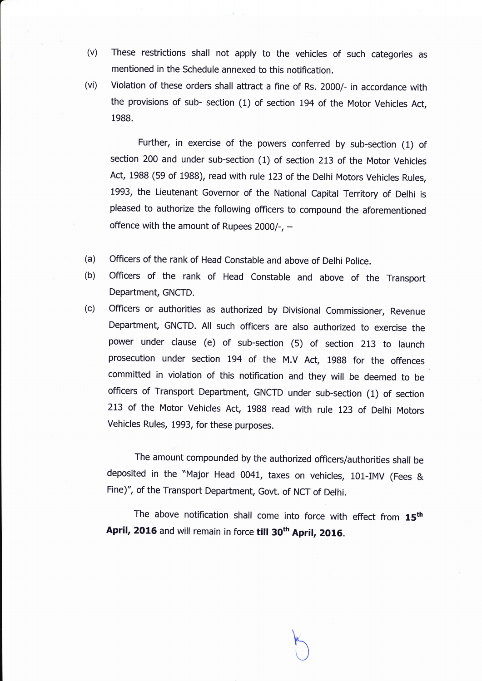- (v) These restrictions shall not apply to the vehicles of such categories as mentioned in the Schedule annexed to this notification.
- (vi) Violation of these orders shall attract a fine of Rs. 2OOO/- in accordance with the provisions of sub- section (1) of section L94 of the Motor Vehicles Act, 1988.

Further, in exercise of the powers conferred by sub-section (1) of section 200 and under sub-section (1) of section 213 of the Motor Vehicles Act, 1988 (59 of 1988), read with rule 123 of the Delhi Motors Vehicles Rules, 1993, the Lieutenant Governor of the National Capital Territory of Delhi is pleased to authorize the following officers to compound the aforementioned offence with the amount of Rupees  $2000/-$ , -

- officers of the rank of Head constable and above of Delhi police. (a)
- officers of the rank of Head constable and above of the Transport Department, GNCTD. (b)
- Officers or authorities as authorized by Divisional Commissioner, Revenue Department, GNCTD. All such officers are also authorized to exercise the power under clause (e) of sub-section (5) of section 213 to launch prosecution under section 194 of the M.V Act, 1988 for the offences committed in violation of this notification and they will be deemed to be officers of Transport Department, GNCTD under sub-section (1) of section 2L3 of the Motor vehicles Act, 1988 read with rule 123 of Delhi Motors Vehicles Rules, 1993, for these purposes. (c)

The amount compounded by the authorized officers/authorities shall be deposited in the "Major Head 0041, taxes on vehicles, 101-IMV (Fees & Fine)", of the Transport Department, Govt. of NCT of Delhi.

The above notification shall come into force with effect from  $15<sup>th</sup>$ April, 2016 and will remain in force till 30<sup>th</sup> April, 2016.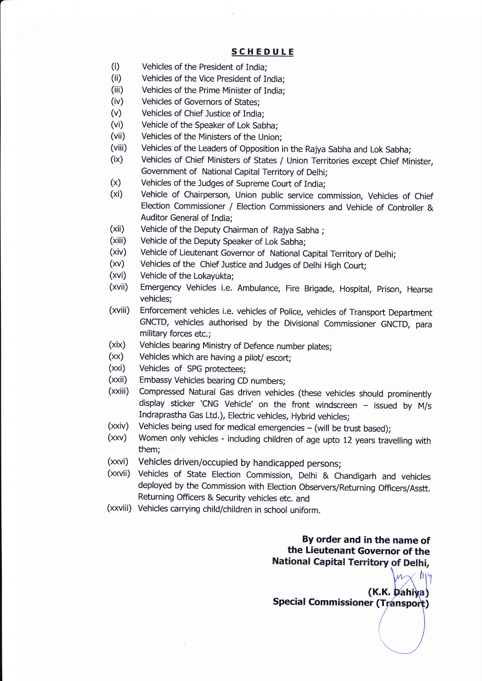### SCHEDULE

- (i) Vehicles of the President of India;
- (ii) Vehicles of the Vice President of India;
- (iii) Vehicles of the Prime Minister of India;
- (iv) Vehicles of Governors of States;
- (v) Vehicles of Chief Justice of India;
- (vi) Vehicle of the Speaker of Lok Sabha;
- (vii) Vehicles of the Ministers of the Union;
- 
- (viii) Vehicles of the Leaders of Opposition in the Rajya Sabha and Lok Sabha;<br>(ix) Vehicles of Chief Ministers of States / Union Territories except Chief Minister,<br>Government of National Capital Territory of Delhi;
- 
- (x) Vehicles of the Judges of Supreme Court of India;<br>(xi) Vehicle of Chairperson, Union public service commission, Vehicles of Chief Election Commissioner / Election Commissioners and Vehicle of Controller & Auditor General of India;
- (xii) Vehicle of the Deputy Chairman of Rajya Sabha;<br>(xiii) Vehicle of the Deputy Speaker of Lok Sabha:
- 
- (xiii) Vehicle of the Deputy Speaker of Lok Sabha;<br>(xiv) Vehicle of Lieutenant Governor of National Capital Territory of Delhi;<br>(xv) Vehicles of the Chief Justice and Judges of Delhi High Court;<br>(xvi) Vehicle of the Lokayu
- 
- 
- (xvii) Emergency Vehicles i.e. Ambulance, Fire Brigade, Hospital, Prison, Hearse vehicles;
- (xviii) Enforcement vehicles i.e. vehicles of Police, vehicles of Transport Department GNCTD, vehicles authorised by the Divisional Commissioner GNCTD, para military forces etc.;
- (xix) Vehicles bearing Ministry of Defence number plates;
- $(xx)$  Vehicles which are having a pilot/ escort;<br> $(xxi)$  Vehicles of SPG protectees;
- 
- (xxii) Embassy Vehicles bearing CD numbers;
- (xxiii) Compressed Natural Gas driven vehicles (these vehicles should prominently display sticker 'CNG Vehicle' on the front windscreen  $-$  issued by M/s Indraprastha Gas Ltd.), Electric vehicles, Hybrid vehicles;
- 
- ( $xxiv$ ) Vehicles being used for medical emergencies (will be trust based);<br>( $xxv$ ) Women only vehicles including children of age upto 12 years travelling with them;
- (xxvi) Vehicles driven/occupied by handicapped persons;
- (xxvii) Vehicles of State Election Commission, Delhi & Chandigarh and vehicles deployed by the Commission with Election Observers/Returning Officers/Asstt. Returning Officers & Security vehicles etc. and
- (xxviii) Vehicles carrying child/children in school uniform.

By order and in the name of the Lieutenant Governor of the<br>National Capital Territory of Delhi,

(K.K. Dahiya Special Commissioner (Transport)

It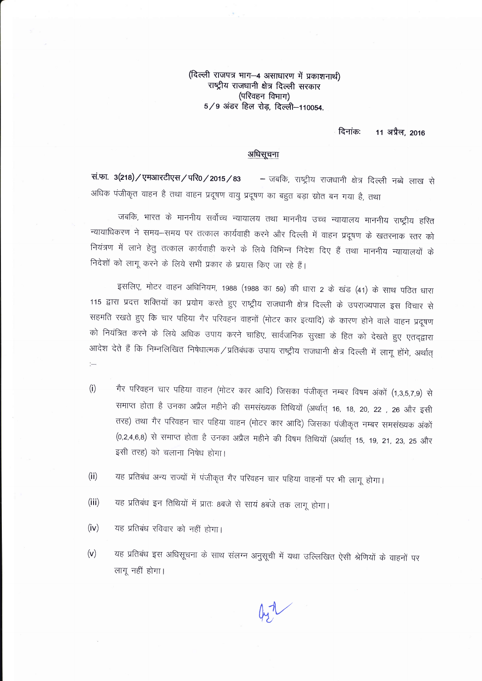(दिल्ली राजपत्र भाग-4 असाधारण में प्रकाशनार्थ) राष्ट्रीय राजधानी क्षेत्र दिल्ली सरकार (परिवहन विभाग)  $5/9$  अंडर हिल रोड़, दिल्ली-110054.

> दिनांक: 11 अप्रैल. 2016

### अधिसूचना

सं.फा. 3(218) / एमआरटीएस / परि0 / 2015 / 83 – जबकि, राष्ट्रीय राजधानी क्षेत्र दिल्ली नब्बे लाख से अधिक पंजीकृत वाहन है तथा वाहन प्रदूषण वायु प्रदूषण का बहुत बड़ा स्रोत बन गया है, तथा

जबकि, भारत के माननीय सर्वोच्च न्यायालय तथा माननीय उच्च न्यायालय माननीय राष्ट्रीय हरित न्यायाधिकरण ने समय-समय पर तत्काल कार्यवाही करने और दिल्ली में वाहन प्रदूषण के खतरनाक स्तर को नियंत्रण में लाने हेतु तत्काल कार्यवाही करने के लिये विभिन्न निदेश दिए हैं तथा माननीय न्यायालयों के निदेशों को लागू करने के लिये सभी प्रकार के प्रयास किए जा रहे हैं।

इसलिए, मोटर वाहन अधिनियम, 1988 (1988 का 59) की धारा 2 के खंड (41) के साथ पठित धारा 115 द्वारा प्रदत्त शक्तियों का प्रयोग करते हुए राष्ट्रीय राजधानी क्षेत्र दिल्ली के उपराज्यपाल इस विचार से सहमति रखते हुए कि चार पहिया गैर परिवहन वाहनों (मोटर कार इत्यादि) के कारण होने वाले वाहन प्रदूषण को नियंत्रित करने के लिये अधिक उपाय करने चाहिए, सार्वजनिक सुरक्षा के हित को देखते हुए एतद्द्वारा आदेश देते हैं कि निम्नलिखित निषेधात्मक/प्रतिबंधक उपाय राष्ट्रीय राजधानी क्षेत्र दिल्ली में लागू होंगे, अर्थात्

- गैर परिवहन चार पहिया वाहन (मोटर कार आदि) जिसका पंजीकृत नम्बर विषम अंकों (1,3,5,7,9) से  $(i)$ समाप्त होता है उनका अप्रैल महीने की समसंख्यक तिथियों (अर्थात् 16, 18, 20, 22), 26 और इसी तरह) तथा गैर परिवहन चार पहिया वाहन (मोटर कार आदि) जिसका पंजीकृत नम्बर समसंख्यक अंकों (0,2,4,6,8) से समाप्त होता है उनका अप्रैल महीने की विषम तिथियों (अर्थात् 15, 19, 21, 23, 25 और इसी तरह) को चलाना निषेध होगा।
- यह प्रतिबंध अन्य राज्यों में पंजीकृत गैर परिवहन चार पहिया वाहनों पर भी लागू होगा।  $(ii)$
- यह प्रतिबंध इन तिथियों में प्रातः 8बजे से सायं 8बजे तक लागू होगा।  $(iii)$
- यह प्रतिबंध रविवार को नहीं होगा।  $(iv)$

 $\sim$ 

यह प्रतिबंध इस अधिसूचना के साथ संलग्न अनुसूची में यथा उल्लिखित ऐसी श्रेणियों के वाहनों पर  $(v)$ लागू नहीं होगा।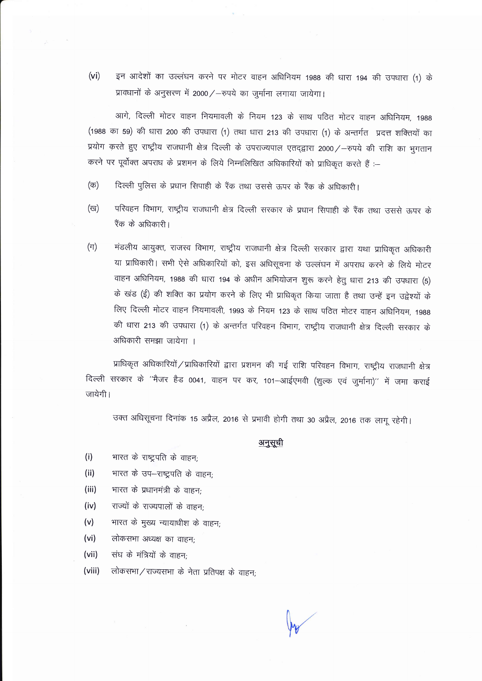$(v<sub>i</sub>)$ इन आदेशों का उल्लंघन करने पर मोटर वाहन अधिनियम 1988 की धारा 194 की उपधारा (1) के प्रावधानों के अनुसरण में 2000 / - रुपये का जुर्माना लगाया जायेगा।

आगे. दिल्ली मोटर वाहन नियमावली के नियम 123 के साथ पठित मोटर वाहन अधिनियम, 1988 (1988 का 59) की धारा 200 की उपधारा (1) तथा धारा 213 की उपधारा (1) के अन्तर्गत प्रदत्त शक्तियों का प्रयोग करते हुए राष्ट्रीय राजधानी क्षेत्र दिल्ली के उपराज्यपाल एतदद्वारा 2000 / - रुपये की राशि का भुगतान करने पर पूर्वोक्त अपराध के प्रशमन के लिये निम्नलिखित अधिकारियों को प्राधिकृत करते हैं :-

- दिल्ली पुलिस के प्रधान सिपाही के रैंक तथा उससे ऊपर के रैंक के अधिकारी।  $(\overline{\sigma})$
- परिवहन विभाग, राष्ट्रीय राजधानी क्षेत्र दिल्ली सरकार के प्रधान सिपाही के रैंक तथा उससे ऊपर के (ख) रैंक के अधिकारी।
- $(\pi)$ मंडलीय आयुक्त, राजस्व विभाग, राष्ट्रीय राजधानी क्षेत्र दिल्ली सरकार द्वारा यथा प्राधिकृत अधिकारी या प्राधिकारी। सभी ऐसे अधिकारियों को, इस अधिसूचना के उल्लंघन में अपराध करने के लिये मोटर वाहन अधिनियम, 1988 की धारा 194 के अधीन अभियोजन शुरू करने हेतु धारा 213 की उपधारा (5) के खंड (ई) की शक्ति का प्रयोग करने के लिए भी प्राधिकृत किया जाता है तथा उन्हें इन उद्वेश्यों के लिए दिल्ली मोटर वाहन नियमावली, 1993 के नियम 123 के साथ पठित मोटर वाहन अधिनियम, 1988 की धारा 213 की उपधारा (1) के अन्तर्गत परिवहन विभाग, राष्ट्रीय राजधानी क्षेत्र दिल्ली सरकार के अधिकारी समझा जायेगा ।

प्राधिकृत अधिकारियों / प्राधिकारियों द्वारा प्रशमन की गई राशि परिवहन विभाग, राष्ट्रीय राजधानी क्षेत्र दिल्ली सरकार के ''मैजर हैड 0041, वाहन पर कर, 101–आईएमवी (शुल्क एवं जुर्माना)'' में जमा कराई जायेगी।

उक्त अधिसूचना दिनांक 15 अप्रैल, 2016 से प्रभावी होगी तथा 30 अप्रैल, 2016 तक लागू रहेगी।

#### अनुसूची

- $(i)$ भारत के राष्ट्रपति के वाहन;
- $(ii)$ भारत के उप-राष्ट्रपति के वाहन:
- $(iii)$ भारत के प्रधानमंत्री के वाहन;
- राज्यों के राज्यपालों के वाहन;  $(iv)$
- भारत के मुख्य न्यायाधीश के वाहन;  $(v)$
- $(vi)$ लोकसभा अध्यक्ष का वाहन;
- $(vii)$ संघ के मंत्रियों के वाहन:
- (viii) लोकसभा / राज्यसभा के नेता प्रतिपक्ष के वाहन;